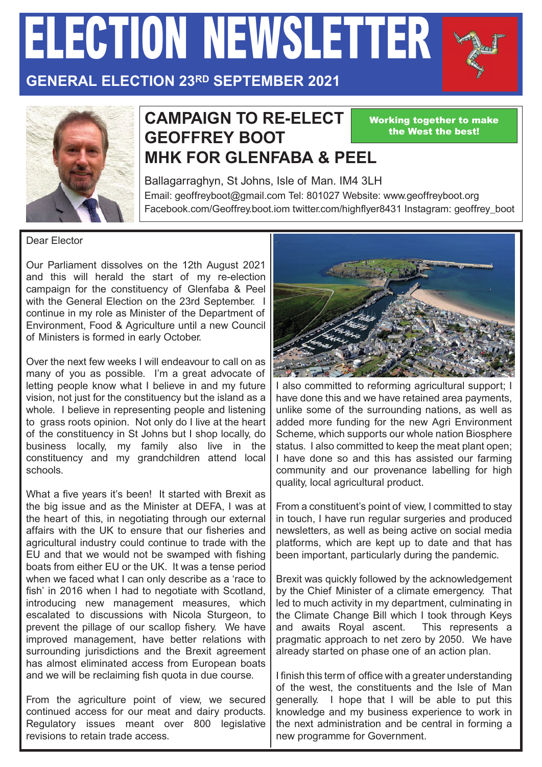# *ELECTION NEWSLETTER*



#### **GENERAL ELECTION 23RD SEPTEMBER 2021**



#### **CAMPAIGN TO RE-ELECT GEOFFREY BOOT MHK FOR GLENFABA & PEEL**

Working together to make the West the best!

Ballagarraghyn, St Johns, Isle of Man. IM4 3LH Email: geoffreyboot@gmail.com Tel: 801027 Website: www.geoffreyboot.org Facebook.com/Geoffrey.boot.iom twitter.com/highflyer8431 Instagram: geoffrey\_boot

#### Dear Elector

Our Parliament dissolves on the 12th August 2021 and this will herald the start of my re-election campaign for the constituency of Glenfaba & Peel with the General Election on the 23rd September. I continue in my role as Minister of the Department of Environment, Food & Agriculture until a new Council of Ministers is formed in early October.

Over the next few weeks I will endeavour to call on as many of you as possible. I'm a great advocate of letting people know what I believe in and my future vision, not just for the constituency but the island as a whole. I believe in representing people and listening to grass roots opinion. Not only do I live at the heart of the constituency in St Johns but I shop locally, do business locally, my family also live in the constituency and my grandchildren attend local schools.

What a five years it's been! It started with Brexit as the big issue and as the Minister at DEFA, I was at the heart of this, in negotiating through our external affairs with the UK to ensure that our fisheries and agricultural industry could continue to trade with the EU and that we would not be swamped with fishing boats from either EU or the UK. It was a tense period when we faced what I can only describe as a 'race to fish' in 2016 when I had to negotiate with Scotland, introducing new management measures, which escalated to discussions with Nicola Sturgeon, to prevent the pillage of our scallop fishery. We have improved management, have better relations with surrounding jurisdictions and the Brexit agreement has almost eliminated access from European boats and we will be reclaiming fish quota in due course.

From the agriculture point of view, we secured continued access for our meat and dairy products. Regulatory issues meant over 800 legislative revisions to retain trade access.



I also committed to reforming agricultural support; I have done this and we have retained area payments, unlike some of the surrounding nations, as well as added more funding for the new Agri Environment Scheme, which supports our whole nation Biosphere status. I also committed to keep the meat plant open; I have done so and this has assisted our farming community and our provenance labelling for high quality, local agricultural product.

From a constituent's point of view, I committed to stay in touch, I have run regular surgeries and produced newsletters, as well as being active on social media platforms, which are kept up to date and that has been important, particularly during the pandemic.

Brexit was quickly followed by the acknowledgement by the Chief Minister of a climate emergency. That led to much activity in my department, culminating in the Climate Change Bill which I took through Keys and awaits Royal ascent. This represents a pragmatic approach to net zero by 2050. We have already started on phase one of an action plan.

I finish this term of office with a greater understanding of the west, the constituents and the Isle of Man generally. I hope that I will be able to put this knowledge and my business experience to work in the next administration and be central in forming a new programme for Government.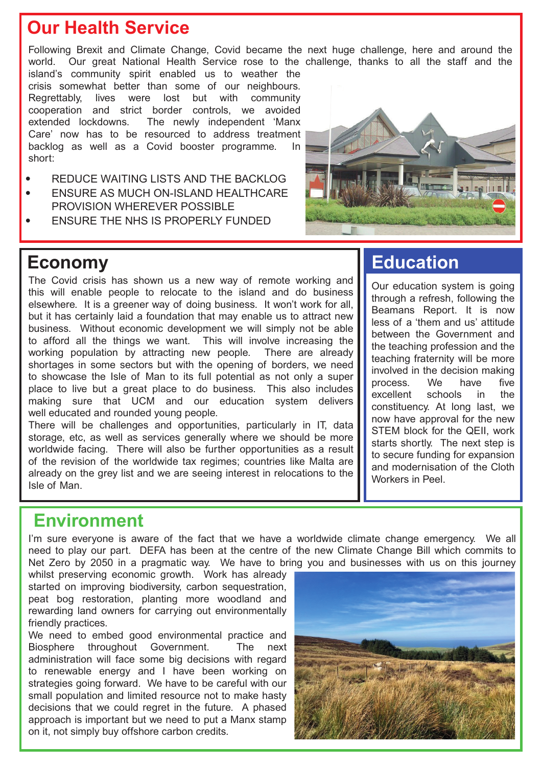### **Our Health Service**

Following Brexit and Climate Change, Covid became the next huge challenge, here and around the world. Our great National Health Service rose to the challenge, thanks to all the staff and the

island's community spirit enabled us to weather the crisis somewhat better than some of our neighbours. Regrettably, lives were lost but with community cooperation and strict border controls, we avoided extended lockdowns. The newly independent 'Manx Care' now has to be resourced to address treatment backlog as well as a Covid booster programme. In short:

- **REDUCE WAITING LISTS AND THE BACKLOG**
- ENSURE AS MUCH ON-ISLAND HEALTHCARE PROVISION WHEREVER POSSIBLE
- **ENSURE THE NHS IS PROPERLY FUNDED**



#### **Economy**

The Covid crisis has shown us a new way of remote working and this will enable people to relocate to the island and do business elsewhere. It is a greener way of doing business. It won't work for all, but it has certainly laid a foundation that may enable us to attract new business. Without economic development we will simply not be able to afford all the things we want. This will involve increasing the working population by attracting new people. There are already shortages in some sectors but with the opening of borders, we need to showcase the Isle of Man to its full potential as not only a super place to live but a great place to do business. This also includes making sure that UCM and our education system delivers well educated and rounded young people.

There will be challenges and opportunities, particularly in IT, data storage, etc, as well as services generally where we should be more worldwide facing. There will also be further opportunities as a result of the revision of the worldwide tax regimes; countries like Malta are already on the grey list and we are seeing interest in relocations to the Isle of Man.

### **Education**

Our education system is going through a refresh, following the Beamans Report. It is now less of a 'them and us' attitude between the Government and the teaching profession and the teaching fraternity will be more involved in the decision making process. We have five excellent schools in the constituency. At long last, we now have approval for the new STEM block for the QEII, work starts shortly. The next step is to secure funding for expansion and modernisation of the Cloth Workers in Peel

#### **Environment**

I'm sure everyone is aware of the fact that we have a worldwide climate change emergency. We all need to play our part. DEFA has been at the centre of the new Climate Change Bill which commits to Net Zero by 2050 in a pragmatic way. We have to bring you and businesses with us on this journey

whilst preserving economic growth. Work has already started on improving biodiversity, carbon sequestration, peat bog restoration, planting more woodland and rewarding land owners for carrying out environmentally friendly practices.

We need to embed good environmental practice and Biosphere throughout Government. The next administration will face some big decisions with regard to renewable energy and I have been working on strategies going forward. We have to be careful with our small population and limited resource not to make hasty decisions that we could regret in the future. A phased approach is important but we need to put a Manx stamp on it, not simply buy offshore carbon credits.

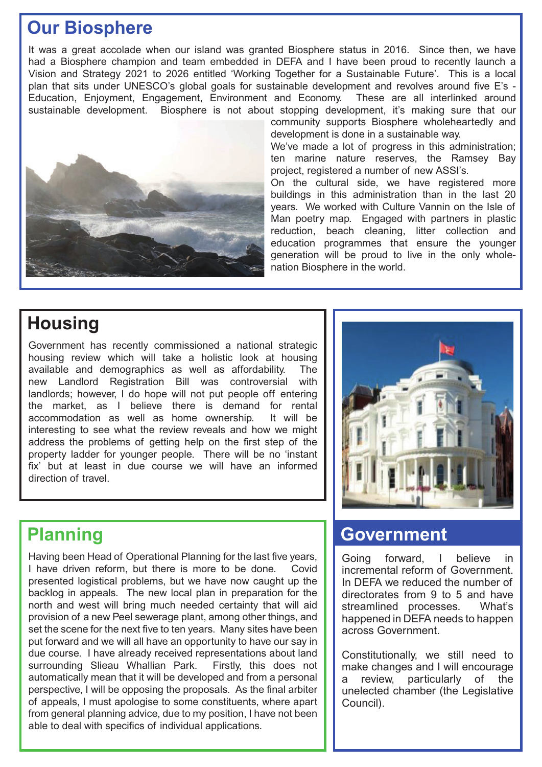### **Our Biosphere**

It was a great accolade when our island was granted Biosphere status in 2016. Since then, we have had a Biosphere champion and team embedded in DEFA and I have been proud to recently launch a Vision and Strategy 2021 to 2026 entitled 'Working Together for a Sustainable Future'. This is a local plan that sits under UNESCO's global goals for sustainable development and revolves around five E's - Education, Enjoyment, Engagement, Environment and Economy. These are all interlinked around sustainable development. Biosphere is not about stopping development, it's making sure that our



community supports Biosphere wholeheartedly and development is done in a sustainable way. We've made a lot of progress in this administration;

ten marine nature reserves, the Ramsey Bay project, registered a number of new ASSI's.

On the cultural side, we have registered more buildings in this administration than in the last 20 years. We worked with Culture Vannin on the Isle of Man poetry map. Engaged with partners in plastic reduction, beach cleaning, litter collection and education programmes that ensure the younger generation will be proud to live in the only wholenation Biosphere in the world.

## **Housing**

Government has recently commissioned a national strategic housing review which will take a holistic look at housing available and demographics as well as affordability. The new Landlord Registration Bill was controversial with landlords; however, I do hope will not put people off entering the market, as I believe there is demand for rental accommodation as well as home ownership. It will be interesting to see what the review reveals and how we might address the problems of getting help on the first step of the property ladder for younger people. There will be no 'instant fix' but at least in due course we will have an informed direction of travel.

Having been Head of Operational Planning for the last five years, I have driven reform, but there is more to be done. Covid presented logistical problems, but we have now caught up the backlog in appeals. The new local plan in preparation for the north and west will bring much needed certainty that will aid provision of a new Peel sewerage plant, among other things, and set the scene for the next five to ten years. Many sites have been put forward and we will all have an opportunity to have our say in due course. I have already received representations about land surrounding Slieau Whallian Park. Firstly, this does not automatically mean that it will be developed and from a personal perspective, I will be opposing the proposals. As the final arbiter of appeals, I must apologise to some constituents, where apart from general planning advice, due to my position, I have not been able to deal with specifics of individual applications.



#### **Planning Covernment**

Going forward, I believe in incremental reform of Government. In DEFA we reduced the number of directorates from 9 to 5 and have streamlined processes. What's happened in DEFA needs to happen across Government.

Constitutionally, we still need to make changes and I will encourage a review, particularly of the unelected chamber (the Legislative Council).